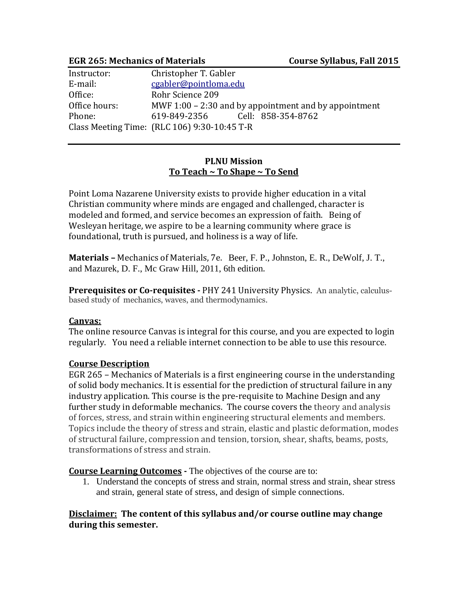#### **EGR 265: Mechanics of Materials Course Syllabus, Fall 2015**

| Instructor:   | Christopher T. Gabler                                   |
|---------------|---------------------------------------------------------|
| E-mail:       | cgabler@pointloma.edu                                   |
| Office:       | Rohr Science 209                                        |
| Office hours: | MWF $1:00 - 2:30$ and by appointment and by appointment |
| Phone:        | 619-849-2356<br>Cell: 858-354-8762                      |
|               | Class Meeting Time: (RLC 106) 9:30-10:45 T-R            |

#### **PLNU Mission To Teach ~ To Shape ~ To Send**

Point Loma Nazarene University exists to provide higher education in a vital Christian community where minds are engaged and challenged, character is modeled and formed, and service becomes an expression of faith. Being of Wesleyan heritage, we aspire to be a learning community where grace is foundational, truth is pursued, and holiness is a way of life.

**Materials –** Mechanics of Materials, 7e. Beer, F. P., Johnston, E. R., DeWolf, J. T., and Mazurek, D. F., Mc Graw Hill, 2011, 6th edition.

**Prerequisites or Co-requisites -** PHY 241 University Physics. An analytic, calculusbased study of mechanics, waves, and thermodynamics.

#### **Canvas:**

The online resource Canvas is integral for this course, and you are expected to login regularly. You need a reliable internet connection to be able to use this resource.

#### **Course Description**

EGR 265 – Mechanics of Materials is a first engineering course in the understanding of solid body mechanics. It is essential for the prediction of structural failure in any industry application. This course is the pre-requisite to Machine Design and any further study in deformable mechanics. The course covers the theory and analysis of forces, stress, and strain within engineering structural elements and members. Topics include the theory of stress and strain, elastic and plastic deformation, modes of structural failure, compression and tension, torsion, shear, shafts, beams, posts, transformations of stress and strain.

**Course Learning Outcomes -** The objectives of the course are to:

1. Understand the concepts of stress and strain, normal stress and strain, shear stress and strain, general state of stress, and design of simple connections.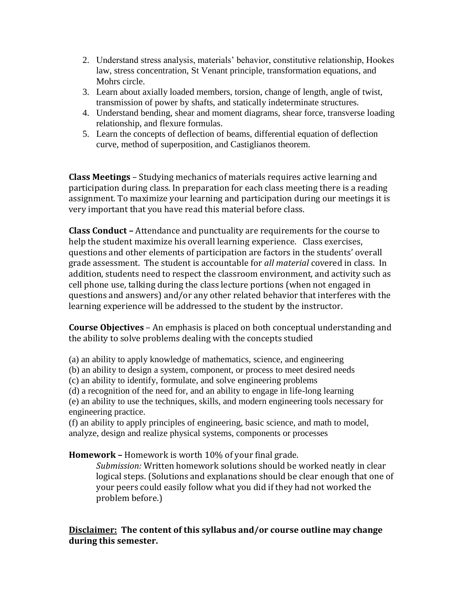- 2. Understand stress analysis, materials' behavior, constitutive relationship, Hookes law, stress concentration, St Venant principle, transformation equations, and Mohrs circle.
- 3. Learn about axially loaded members, torsion, change of length, angle of twist, transmission of power by shafts, and statically indeterminate structures.
- 4. Understand bending, shear and moment diagrams, shear force, transverse loading relationship, and flexure formulas.
- 5. Learn the concepts of deflection of beams, differential equation of deflection curve, method of superposition, and Castiglianos theorem.

**Class Meetings** – Studying mechanics of materials requires active learning and participation during class. In preparation for each class meeting there is a reading assignment. To maximize your learning and participation during our meetings it is very important that you have read this material before class.

**Class Conduct –** Attendance and punctuality are requirements for the course to help the student maximize his overall learning experience. Class exercises, questions and other elements of participation are factors in the students' overall grade assessment. The student is accountable for *all material* covered in class. In addition, students need to respect the classroom environment, and activity such as cell phone use, talking during the class lecture portions (when not engaged in questions and answers) and/or any other related behavior that interferes with the learning experience will be addressed to the student by the instructor.

**Course Objectives** – An emphasis is placed on both conceptual understanding and the ability to solve problems dealing with the concepts studied

(a) an ability to apply knowledge of mathematics, science, and engineering

(b) an ability to design a system, component, or process to meet desired needs

(c) an ability to identify, formulate, and solve engineering problems

(d) a recognition of the need for, and an ability to engage in life-long learning (e) an ability to use the techniques, skills, and modern engineering tools necessary for engineering practice.

(f) an ability to apply principles of engineering, basic science, and math to model, analyze, design and realize physical systems, components or processes

**Homework –** Homework is worth 10% of your final grade.

*Submission:* Written homework solutions should be worked neatly in clear logical steps. (Solutions and explanations should be clear enough that one of your peers could easily follow what you did if they had not worked the problem before.)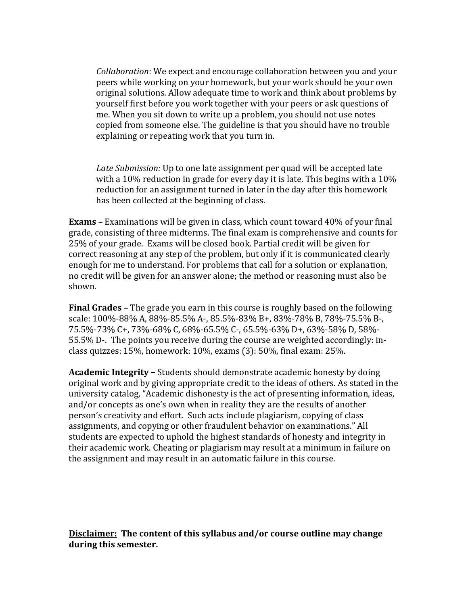*Collaboration*: We expect and encourage collaboration between you and your peers while working on your homework, but your work should be your own original solutions. Allow adequate time to work and think about problems by yourself first before you work together with your peers or ask questions of me. When you sit down to write up a problem, you should not use notes copied from someone else. The guideline is that you should have no trouble explaining or repeating work that you turn in.

*Late Submission:* Up to one late assignment per quad will be accepted late with a 10% reduction in grade for every day it is late. This begins with a 10% reduction for an assignment turned in later in the day after this homework has been collected at the beginning of class.

**Exams –** Examinations will be given in class, which count toward 40% of your final grade, consisting of three midterms. The final exam is comprehensive and counts for 25% of your grade. Exams will be closed book. Partial credit will be given for correct reasoning at any step of the problem, but only if it is communicated clearly enough for me to understand. For problems that call for a solution or explanation, no credit will be given for an answer alone; the method or reasoning must also be shown.

**Final Grades –** The grade you earn in this course is roughly based on the following scale: 100%-88% A, 88%-85.5% A-, 85.5%-83% B+, 83%-78% B, 78%-75.5% B-, 75.5%-73% C+, 73%-68% C, 68%-65.5% C-, 65.5%-63% D+, 63%-58% D, 58%- 55.5% D-. The points you receive during the course are weighted accordingly: inclass quizzes: 15%, homework: 10%, exams (3): 50%, final exam: 25%.

**Academic Integrity –** Students should demonstrate academic honesty by doing original work and by giving appropriate credit to the ideas of others. As stated in the university catalog, "Academic dishonesty is the act of presenting information, ideas, and/or concepts as one's own when in reality they are the results of another person's creativity and effort. Such acts include plagiarism, copying of class assignments, and copying or other fraudulent behavior on examinations." All students are expected to uphold the highest standards of honesty and integrity in their academic work. Cheating or plagiarism may result at a minimum in failure on the assignment and may result in an automatic failure in this course.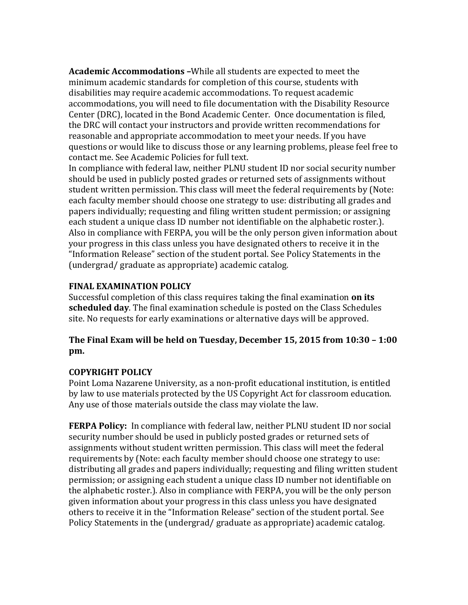**Academic Accommodations –**While all students are expected to meet the minimum academic standards for completion of this course, students with disabilities may require academic accommodations. To request academic accommodations, you will need to file documentation with the Disability Resource Center (DRC), located in the Bond Academic Center. Once documentation is filed, the DRC will contact your instructors and provide written recommendations for reasonable and appropriate accommodation to meet your needs. If you have questions or would like to discuss those or any learning problems, please feel free to contact me. See Academic Policies for full text.

In compliance with federal law, neither PLNU student ID nor social security number should be used in publicly posted grades or returned sets of assignments without student written permission. This class will meet the federal requirements by (Note: each faculty member should choose one strategy to use: distributing all grades and papers individually; requesting and filing written student permission; or assigning each student a unique class ID number not identifiable on the alphabetic roster.). Also in compliance with FERPA, you will be the only person given information about your progress in this class unless you have designated others to receive it in the "Information Release" section of the student portal. See Policy Statements in the (undergrad/ graduate as appropriate) academic catalog.

### **FINAL EXAMINATION POLICY**

Successful completion of this class requires taking the final examination **on its scheduled day**. The final examination schedule is posted on the Class Schedules site. No requests for early examinations or alternative days will be approved.

### **The Final Exam will be held on Tuesday, December 15, 2015 from 10:30 – 1:00 pm.**

#### **COPYRIGHT POLICY**

Point Loma Nazarene University, as a non-profit educational institution, is entitled by law to use materials protected by the US Copyright Act for classroom education. Any use of those materials outside the class may violate the law.

**FERPA Policy:** In compliance with federal law, neither PLNU student ID nor social security number should be used in publicly posted grades or returned sets of assignments without student written permission. This class will meet the federal requirements by (Note: each faculty member should choose one strategy to use: distributing all grades and papers individually; requesting and filing written student permission; or assigning each student a unique class ID number not identifiable on the alphabetic roster.). Also in compliance with FERPA, you will be the only person given information about your progress in this class unless you have designated others to receive it in the "Information Release" section of the student portal. See Policy Statements in the (undergrad/ graduate as appropriate) academic catalog.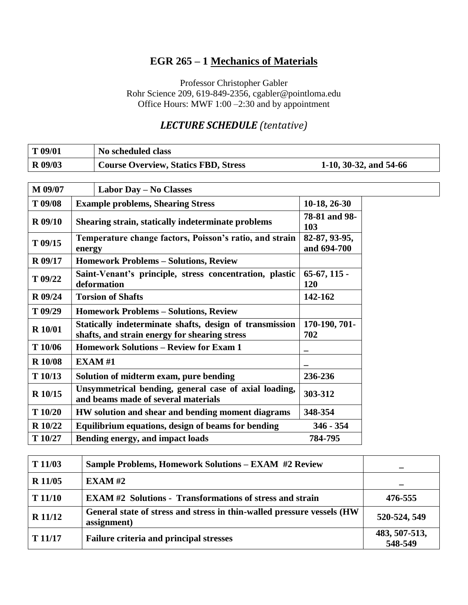# **EGR 265 – 1 Mechanics of Materials**

Professor Christopher Gabler Rohr Science 209, 619-849-2356, cgabler@pointloma.edu Office Hours: MWF 1:00 –2:30 and by appointment

## *LECTURE SCHEDULE (tentative)*

| $\mid$ T 09/01 | No scheduled class                          |                          |
|----------------|---------------------------------------------|--------------------------|
| R 09/03        | <b>Course Overview, Statics FBD, Stress</b> | 1-10, 30-32, and $54-66$ |

| M 09/07        | Labor Day - No Classes                                                                                   |                              |
|----------------|----------------------------------------------------------------------------------------------------------|------------------------------|
| T 09/08        | <b>Example problems, Shearing Stress</b>                                                                 | 10-18, 26-30                 |
| <b>R</b> 09/10 | Shearing strain, statically indeterminate problems                                                       | 78-81 and 98-<br>103         |
| $T$ 09/15      | Temperature change factors, Poisson's ratio, and strain<br>energy                                        | 82-87, 93-95,<br>and 694-700 |
| <b>R</b> 09/17 | <b>Homework Problems - Solutions, Review</b>                                                             |                              |
| T 09/22        | Saint-Venant's principle, stress concentration, plastic<br>deformation                                   | $65-67$ , $115-$<br>120      |
| <b>R</b> 09/24 | <b>Torsion of Shafts</b>                                                                                 | 142-162                      |
| T 09/29        | <b>Homework Problems - Solutions, Review</b>                                                             |                              |
| <b>R</b> 10/01 | Statically indeterminate shafts, design of transmission<br>shafts, and strain energy for shearing stress | 170-190, 701-<br>702         |
| T 10/06        | <b>Homework Solutions – Review for Exam 1</b>                                                            |                              |
| <b>R</b> 10/08 | <b>EXAM#1</b>                                                                                            |                              |
| T10/13         | Solution of midterm exam, pure bending                                                                   | 236-236                      |
| R 10/15        | Unsymmetrical bending, general case of axial loading,<br>and beams made of several materials             | 303-312                      |
| T10/20         | HW solution and shear and bending moment diagrams                                                        | 348-354                      |
| R 10/22        | Equilibrium equations, design of beams for bending                                                       | $346 - 354$                  |
| T 10/27        | Bending energy, and impact loads                                                                         | 784-795                      |

| T11/03         | <b>Sample Problems, Homework Solutions - EXAM #2 Review</b>                            |                          |
|----------------|----------------------------------------------------------------------------------------|--------------------------|
| <b>R</b> 11/05 | EXAMPLE XAM #2                                                                         |                          |
| T11/10         | <b>EXAM#2</b> Solutions - Transformations of stress and strain                         | 476-555                  |
| <b>R</b> 11/12 | General state of stress and stress in thin-walled pressure vessels (HW)<br>assignment) | 520-524, 549             |
| T 11/17        | <b>Failure criteria and principal stresses</b>                                         | 483, 507-513,<br>548-549 |